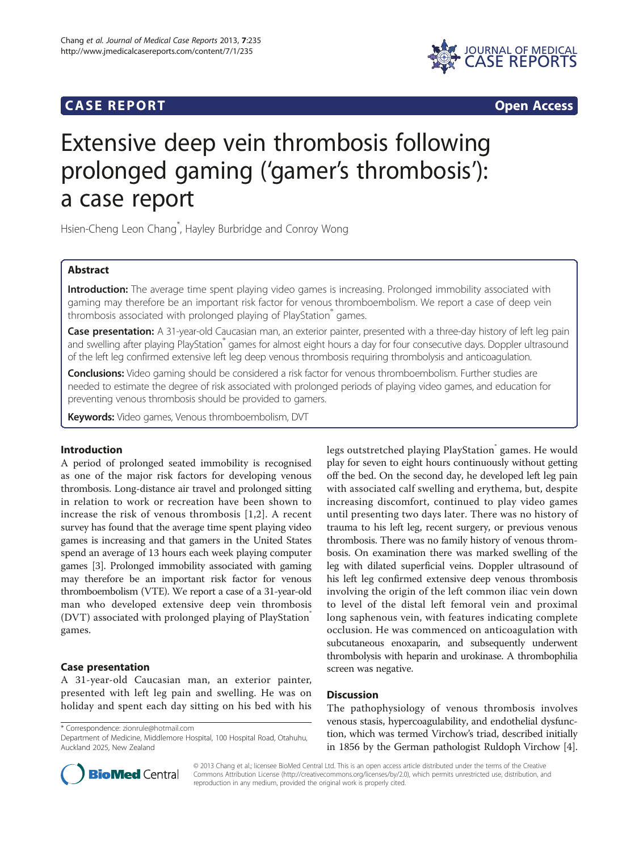# **CASE REPORT CASE REPORT**



# Extensive deep vein thrombosis following prolonged gaming ('gamer's thrombosis'): a case report

Hsien-Cheng Leon Chang\* , Hayley Burbridge and Conroy Wong

# Abstract

Introduction: The average time spent playing video games is increasing. Prolonged immobility associated with gaming may therefore be an important risk factor for venous thromboembolism. We report a case of deep vein thrombosis associated with prolonged playing of PlayStation<sup>®</sup> games.

Case presentation: A 31-year-old Caucasian man, an exterior painter, presented with a three-day history of left leg pain and swelling after playing PlayStation<sup>®</sup> games for almost eight hours a day for four consecutive days. Doppler ultrasound of the left leg confirmed extensive left leg deep venous thrombosis requiring thrombolysis and anticoagulation.

Conclusions: Video gaming should be considered a risk factor for venous thromboembolism. Further studies are needed to estimate the degree of risk associated with prolonged periods of playing video games, and education for preventing venous thrombosis should be provided to gamers.

Keywords: Video games, Venous thromboembolism, DVT

# Introduction

A period of prolonged seated immobility is recognised as one of the major risk factors for developing venous thrombosis. Long-distance air travel and prolonged sitting in relation to work or recreation have been shown to increase the risk of venous thrombosis [\[1,2\]](#page-1-0). A recent survey has found that the average time spent playing video games is increasing and that gamers in the United States spend an average of 13 hours each week playing computer games [[3\]](#page-1-0). Prolonged immobility associated with gaming may therefore be an important risk factor for venous thromboembolism (VTE). We report a case of a 31-year-old man who developed extensive deep vein thrombosis (DVT) associated with prolonged playing of PlayStation® games.

# Case presentation

A 31-year-old Caucasian man, an exterior painter, presented with left leg pain and swelling. He was on holiday and spent each day sitting on his bed with his

\* Correspondence: [zionrule@hotmail.com](mailto:zionrule@hotmail.com)

legs outstretched playing PlayStation<sup>®</sup> games. He would play for seven to eight hours continuously without getting off the bed. On the second day, he developed left leg pain with associated calf swelling and erythema, but, despite increasing discomfort, continued to play video games until presenting two days later. There was no history of trauma to his left leg, recent surgery, or previous venous thrombosis. There was no family history of venous thrombosis. On examination there was marked swelling of the leg with dilated superficial veins. Doppler ultrasound of his left leg confirmed extensive deep venous thrombosis involving the origin of the left common iliac vein down to level of the distal left femoral vein and proximal long saphenous vein, with features indicating complete occlusion. He was commenced on anticoagulation with subcutaneous enoxaparin, and subsequently underwent thrombolysis with heparin and urokinase. A thrombophilia screen was negative.

# **Discussion**

The pathophysiology of venous thrombosis involves venous stasis, hypercoagulability, and endothelial dysfunction, which was termed Virchow's triad, described initially in 1856 by the German pathologist Ruldoph Virchow [[4](#page-1-0)].



© 2013 Chang et al.; licensee BioMed Central Ltd. This is an open access article distributed under the terms of the Creative Commons Attribution License [\(http://creativecommons.org/licenses/by/2.0\)](http://creativecommons.org/licenses/by/2.0), which permits unrestricted use, distribution, and reproduction in any medium, provided the original work is properly cited.

Department of Medicine, Middlemore Hospital, 100 Hospital Road, Otahuhu, Auckland 2025, New Zealand